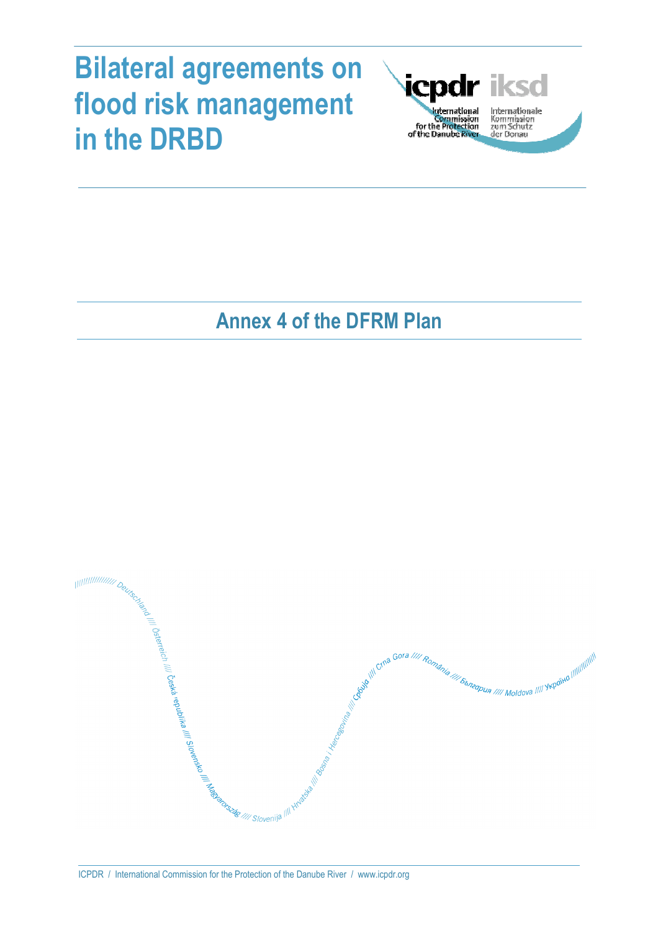# **Bilateral agreements on flood risk management in the DRBD**



Internationale Kommission<br>zum Schutz<br>der Donau

# **Annex 4 of the DFRM Plan**

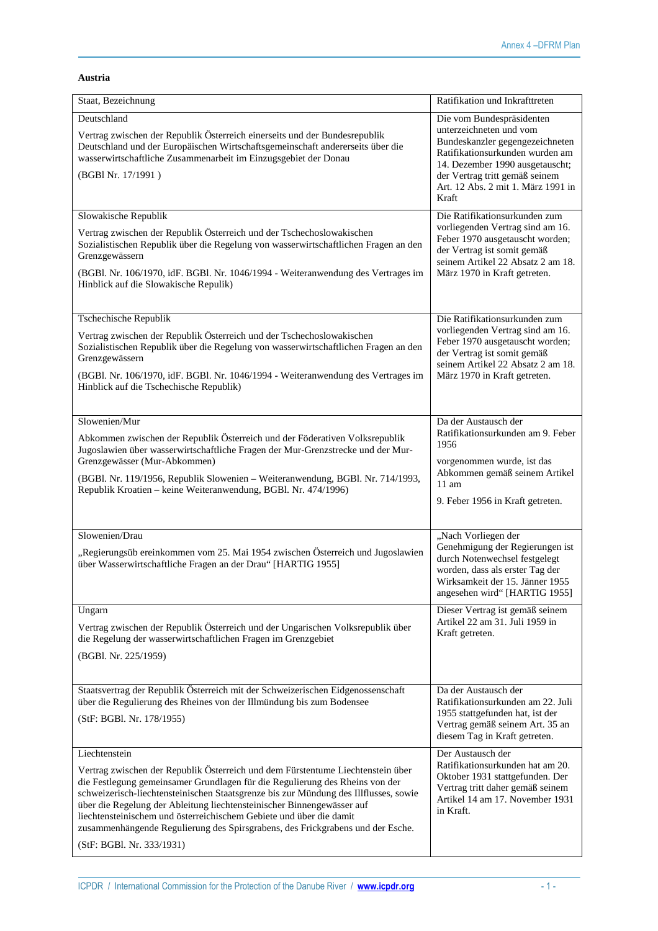# **Austria**

| Staat, Bezeichnung                                                                                                                                                                                                                                                                                                                                                                                                                                                                                                                       | Ratifikation und Inkrafttreten                                                                                                                                                                                                                 |
|------------------------------------------------------------------------------------------------------------------------------------------------------------------------------------------------------------------------------------------------------------------------------------------------------------------------------------------------------------------------------------------------------------------------------------------------------------------------------------------------------------------------------------------|------------------------------------------------------------------------------------------------------------------------------------------------------------------------------------------------------------------------------------------------|
| Deutschland<br>Vertrag zwischen der Republik Österreich einerseits und der Bundesrepublik<br>Deutschland und der Europäischen Wirtschaftsgemeinschaft andererseits über die<br>wasserwirtschaftliche Zusammenarbeit im Einzugsgebiet der Donau<br>(BGBI Nr. 17/1991)                                                                                                                                                                                                                                                                     | Die vom Bundespräsidenten<br>unterzeichneten und vom<br>Bundeskanzler gegengezeichneten<br>Ratifikationsurkunden wurden am<br>14. Dezember 1990 ausgetauscht;<br>der Vertrag tritt gemäß seinem<br>Art. 12 Abs. 2 mit 1. März 1991 in<br>Kraft |
| Slowakische Republik<br>Vertrag zwischen der Republik Österreich und der Tschechoslowakischen<br>Sozialistischen Republik über die Regelung von wasserwirtschaftlichen Fragen an den<br>Grenzgewässern<br>(BGBl. Nr. 106/1970, idF. BGBl. Nr. 1046/1994 - Weiteranwendung des Vertrages im<br>Hinblick auf die Slowakische Repulik)                                                                                                                                                                                                      | Die Ratifikationsurkunden zum<br>vorliegenden Vertrag sind am 16.<br>Feber 1970 ausgetauscht worden;<br>der Vertrag ist somit gemäß<br>seinem Artikel 22 Absatz 2 am 18.<br>März 1970 in Kraft getreten.                                       |
| Tschechische Republik<br>Vertrag zwischen der Republik Österreich und der Tschechoslowakischen<br>Sozialistischen Republik über die Regelung von wasserwirtschaftlichen Fragen an den<br>Grenzgewässern<br>(BGBl. Nr. 106/1970, idF. BGBl. Nr. 1046/1994 - Weiteranwendung des Vertrages im<br>Hinblick auf die Tschechische Republik)                                                                                                                                                                                                   | Die Ratifikationsurkunden zum<br>vorliegenden Vertrag sind am 16.<br>Feber 1970 ausgetauscht worden;<br>der Vertrag ist somit gemäß<br>seinem Artikel 22 Absatz 2 am 18.<br>März 1970 in Kraft getreten.                                       |
| Slowenien/Mur<br>Abkommen zwischen der Republik Österreich und der Föderativen Volksrepublik<br>Jugoslawien über wasserwirtschaftliche Fragen der Mur-Grenzstrecke und der Mur-<br>Grenzgewässer (Mur-Abkommen)<br>(BGBl. Nr. 119/1956, Republik Slowenien - Weiteranwendung, BGBl. Nr. 714/1993,<br>Republik Kroatien - keine Weiteranwendung, BGBl. Nr. 474/1996)                                                                                                                                                                      | Da der Austausch der<br>Ratifikationsurkunden am 9. Feber<br>1956<br>vorgenommen wurde, ist das<br>Abkommen gemäß seinem Artikel<br>$11 \text{ am}$<br>9. Feber 1956 in Kraft getreten.                                                        |
| Slowenien/Drau<br>"Regierungsüb ereinkommen vom 25. Mai 1954 zwischen Österreich und Jugoslawien<br>über Wasserwirtschaftliche Fragen an der Drau" [HARTIG 1955]                                                                                                                                                                                                                                                                                                                                                                         | "Nach Vorliegen der<br>Genehmigung der Regierungen ist<br>durch Notenwechsel festgelegt<br>worden, dass als erster Tag der<br>Wirksamkeit der 15. Jänner 1955<br>angesehen wird" [HARTIG 1955]                                                 |
| Ungarn<br>Vertrag zwischen der Republik Österreich und der Ungarischen Volksrepublik über<br>die Regelung der wasserwirtschaftlichen Fragen im Grenzgebiet<br>(BGBI. Nr. 225/1959)                                                                                                                                                                                                                                                                                                                                                       | Dieser Vertrag ist gemäß seinem<br>Artikel 22 am 31. Juli 1959 in<br>Kraft getreten.                                                                                                                                                           |
| Staatsvertrag der Republik Österreich mit der Schweizerischen Eidgenossenschaft<br>über die Regulierung des Rheines von der Illmündung bis zum Bodensee<br>(StF: BGBl. Nr. 178/1955)                                                                                                                                                                                                                                                                                                                                                     | Da der Austausch der<br>Ratifikationsurkunden am 22. Juli<br>1955 stattgefunden hat, ist der<br>Vertrag gemäß seinem Art. 35 an<br>diesem Tag in Kraft getreten.                                                                               |
| Liechtenstein<br>Vertrag zwischen der Republik Österreich und dem Fürstentume Liechtenstein über<br>die Festlegung gemeinsamer Grundlagen für die Regulierung des Rheins von der<br>schweizerisch-liechtensteinischen Staatsgrenze bis zur Mündung des Illflusses, sowie<br>über die Regelung der Ableitung liechtensteinischer Binnengewässer auf<br>liechtensteinischem und österreichischem Gebiete und über die damit<br>zusammenhängende Regulierung des Spirsgrabens, des Frickgrabens und der Esche.<br>(StF: BGBl. Nr. 333/1931) | Der Austausch der<br>Ratifikationsurkunden hat am 20.<br>Oktober 1931 stattgefunden. Der<br>Vertrag tritt daher gemäß seinem<br>Artikel 14 am 17. November 1931<br>in Kraft.                                                                   |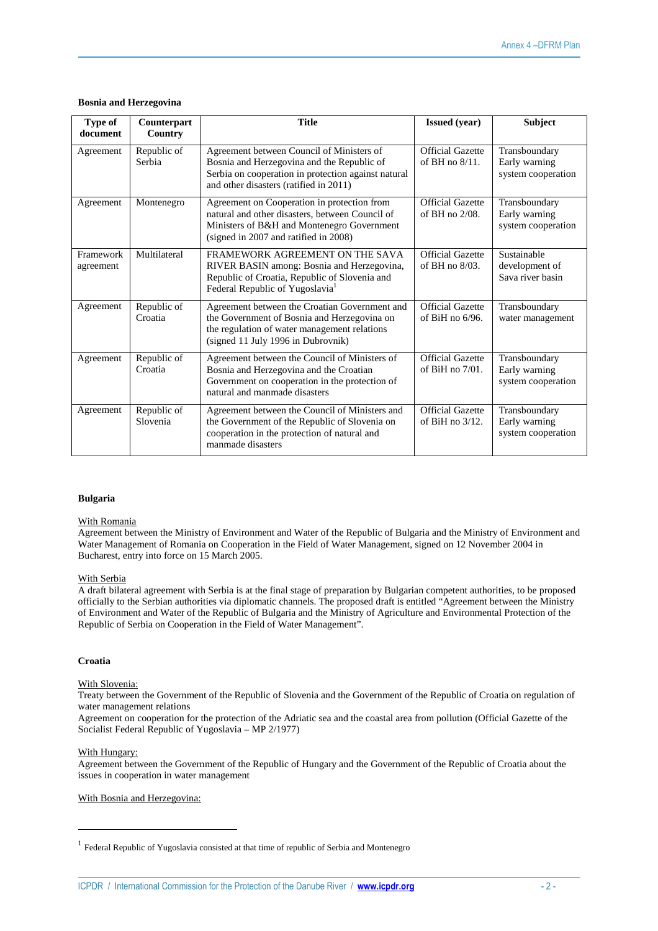# **Bosnia and Herzegovina**

| <b>Type of</b><br>document | Counterpart<br>Country  | <b>Title</b>                                                                                                                                                                             | <b>Issued</b> (year)                          | Subject                                              |
|----------------------------|-------------------------|------------------------------------------------------------------------------------------------------------------------------------------------------------------------------------------|-----------------------------------------------|------------------------------------------------------|
| Agreement                  | Republic of<br>Serbia   | Agreement between Council of Ministers of<br>Bosnia and Herzegovina and the Republic of<br>Serbia on cooperation in protection against natural<br>and other disasters (ratified in 2011) | Official Gazette<br>of BH no $8/11$ .         | Transboundary<br>Early warning<br>system cooperation |
| Agreement                  | Montenegro              | Agreement on Cooperation in protection from<br>natural and other disasters, between Council of<br>Ministers of B&H and Montenegro Government<br>(signed in 2007 and ratified in 2008)    | <b>Official Gazette</b><br>of BH no 2/08.     | Transboundary<br>Early warning<br>system cooperation |
| Framework<br>agreement     | Multilateral            | FRAMEWORK AGREEMENT ON THE SAVA<br>RIVER BASIN among: Bosnia and Herzegovina,<br>Republic of Croatia, Republic of Slovenia and<br>Federal Republic of Yugoslavia <sup>1</sup>            | <b>Official Gazette</b><br>of BH no 8/03.     | Sustainable<br>development of<br>Sava river basin    |
| Agreement                  | Republic of<br>Croatia  | Agreement between the Croatian Government and<br>the Government of Bosnia and Herzegovina on<br>the regulation of water management relations<br>(signed 11 July 1996 in Dubrovnik)       | <b>Official Gazette</b><br>of BiH no $6/96$ . | Transboundary<br>water management                    |
| Agreement                  | Republic of<br>Croatia  | Agreement between the Council of Ministers of<br>Bosnia and Herzegovina and the Croatian<br>Government on cooperation in the protection of<br>natural and manmade disasters              | <b>Official Gazette</b><br>of BiH no $7/01$ . | Transboundary<br>Early warning<br>system cooperation |
| Agreement                  | Republic of<br>Slovenia | Agreement between the Council of Ministers and<br>the Government of the Republic of Slovenia on<br>cooperation in the protection of natural and<br>manmade disasters                     | <b>Official Gazette</b><br>of BiH no $3/12$ . | Transboundary<br>Early warning<br>system cooperation |

# **Bulgaria**

# With Romania

Agreement between the Ministry of Environment and Water of the Republic of Bulgaria and the Ministry of Environment and Water Management of Romania on Cooperation in the Field of Water Management, signed on 12 November 2004 in Bucharest, entry into force on 15 March 2005.

# With Serbia

A draft bilateral agreement with Serbia is at the final stage of preparation by Bulgarian competent authorities, to be proposed officially to the Serbian authorities via diplomatic channels. The proposed draft is entitled "Agreement between the Ministry of Environment and Water of the Republic of Bulgaria and the Ministry of Agriculture and Environmental Protection of the Republic of Serbia on Cooperation in the Field of Water Management".

# **Croatia**

# With Slovenia:

Treaty between the Government of the Republic of Slovenia and the Government of the Republic of Croatia on regulation of water management relations

Agreement on cooperation for the protection of the Adriatic sea and the coastal area from pollution (Official Gazette of the Socialist Federal Republic of Yugoslavia – MP 2/1977)

# With Hungary:

 $\overline{a}$ 

Agreement between the Government of the Republic of Hungary and the Government of the Republic of Croatia about the issues in cooperation in water management

# With Bosnia and Herzegovina:

<sup>&</sup>lt;sup>1</sup> Federal Republic of Yugoslavia consisted at that time of republic of Serbia and Montenegro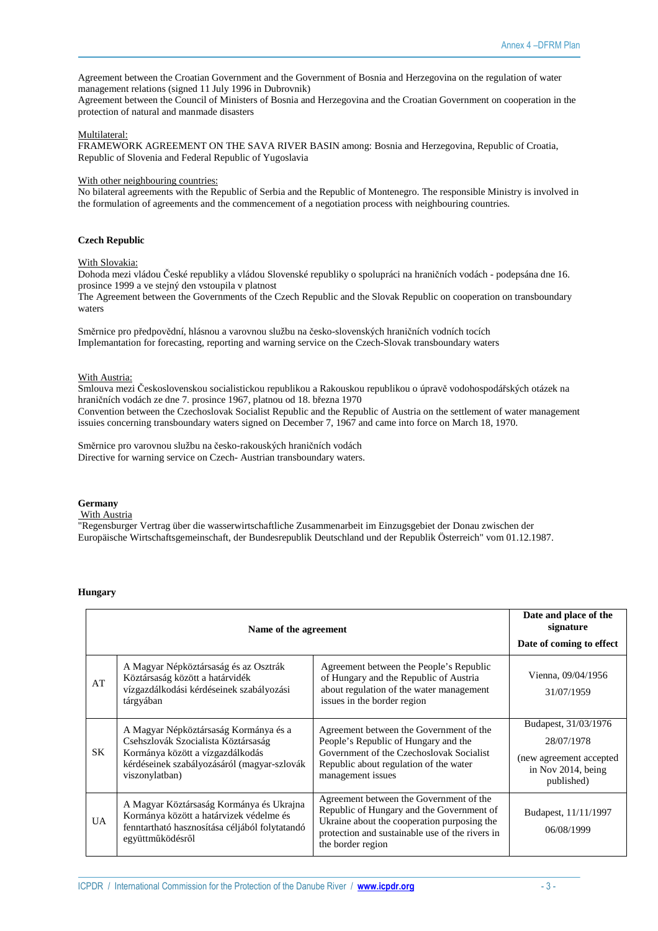Agreement between the Croatian Government and the Government of Bosnia and Herzegovina on the regulation of water management relations (signed 11 July 1996 in Dubrovnik)

Agreement between the Council of Ministers of Bosnia and Herzegovina and the Croatian Government on cooperation in the protection of natural and manmade disasters

# Multilateral:

FRAMEWORK AGREEMENT ON THE SAVA RIVER BASIN among: Bosnia and Herzegovina, Republic of Croatia, Republic of Slovenia and Federal Republic of Yugoslavia

# With other neighbouring countries:

No bilateral agreements with the Republic of Serbia and the Republic of Montenegro. The responsible Ministry is involved in the formulation of agreements and the commencement of a negotiation process with neighbouring countries.

# **Czech Republic**

# With Slovakia:

Dohoda mezi vládou České republiky a vládou Slovenské republiky o spolupráci na hraničních vodách - podepsána dne 16. prosince 1999 a ve stejný den vstoupila v platnost

The Agreement between the Governments of the Czech Republic and the Slovak Republic on cooperation on transboundary waters

Směrnice pro předpovědní, hlásnou a varovnou službu na česko-slovenských hraničních vodních tocích Implemantation for forecasting, reporting and warning service on the Czech-Slovak transboundary waters

# With Austria:

Smlouva mezi Československou socialistickou republikou a Rakouskou republikou o úpravě vodohospodářských otázek na hraničních vodách ze dne 7. prosince 1967, platnou od 18. března 1970 Convention between the Czechoslovak Socialist Republic and the Republic of Austria on the settlement of water management issuies concerning transboundary waters signed on December 7, 1967 and came into force on March 18, 1970.

Směrnice pro varovnou službu na česko-rakouských hraničních vodách Directive for warning service on Czech- Austrian transboundary waters.

# **Germany**

#### With Austria

"Regensburger Vertrag über die wasserwirtschaftliche Zusammenarbeit im Einzugsgebiet der Donau zwischen der Europäische Wirtschaftsgemeinschaft, der Bundesrepublik Deutschland und der Republik Österreich" vom 01.12.1987.

# **Hungary**

| Name of the agreement |                                                                                                                                                                                   |                                                                                                                                                                                                             | Date and place of the<br>signature<br>Date of coming to effect                                     |
|-----------------------|-----------------------------------------------------------------------------------------------------------------------------------------------------------------------------------|-------------------------------------------------------------------------------------------------------------------------------------------------------------------------------------------------------------|----------------------------------------------------------------------------------------------------|
| AT                    | A Magyar Népköztársaság és az Osztrák<br>Köztársaság között a határvidék<br>vízgazdálkodási kérdéseinek szabályozási<br>tárgyában                                                 | Agreement between the People's Republic<br>of Hungary and the Republic of Austria<br>about regulation of the water management<br>issues in the border region                                                | Vienna, 09/04/1956<br>31/07/1959                                                                   |
| SK.                   | A Magyar Népköztársaság Kormánya és a<br>Csehszlovák Szocialista Köztársaság<br>Kormánya között a vízgazdálkodás<br>kérdéseinek szabályozásáról (magyar-szlovák<br>viszonylatban) | Agreement between the Government of the<br>People's Republic of Hungary and the<br>Government of the Czechoslovak Socialist<br>Republic about regulation of the water<br>management issues                  | Budapest, 31/03/1976<br>28/07/1978<br>(new agreement accepted)<br>in Nov 2014, being<br>published) |
| UA.                   | A Magyar Köztársaság Kormánya és Ukrajna<br>Kormánya között a határvizek védelme és<br>fenntartható hasznosítása céljából folytatandó<br>együttműködésről                         | Agreement between the Government of the<br>Republic of Hungary and the Government of<br>Ukraine about the cooperation purposing the<br>protection and sustainable use of the rivers in<br>the border region | Budapest, 11/11/1997<br>06/08/1999                                                                 |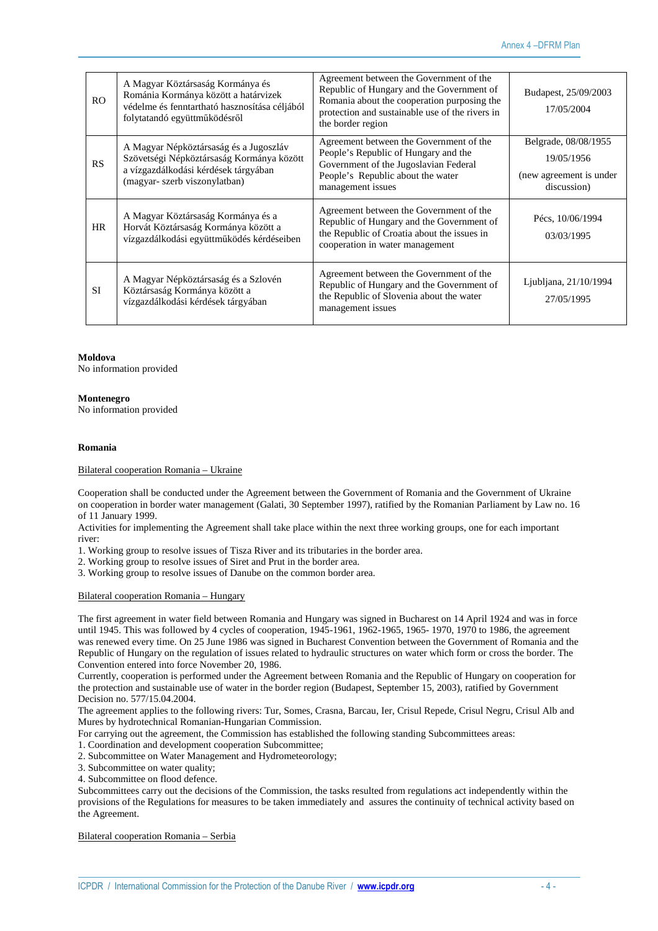| R <sub>O</sub> | A Magyar Köztársaság Kormánya és<br>Románia Kormánya között a határvizek<br>védelme és fenntartható hasznosítása céljából<br>folytatandó együttműködésről    | Agreement between the Government of the<br>Republic of Hungary and the Government of<br>Romania about the cooperation purposing the<br>protection and sustainable use of the rivers in<br>the border region | Budapest, 25/09/2003<br>17/05/2004                                           |
|----------------|--------------------------------------------------------------------------------------------------------------------------------------------------------------|-------------------------------------------------------------------------------------------------------------------------------------------------------------------------------------------------------------|------------------------------------------------------------------------------|
| RS             | A Magyar Népköztársaság és a Jugoszláv<br>Szövetségi Népköztársaság Kormánya között<br>a vízgazdálkodási kérdések tárgyában<br>(magyar- szerb viszonylatban) | Agreement between the Government of the<br>People's Republic of Hungary and the<br>Government of the Jugoslavian Federal<br>People's Republic about the water<br>management issues                          | Belgrade, 08/08/1955<br>19/05/1956<br>(new agreement is under<br>discussion) |
| <b>HR</b>      | A Magyar Köztársaság Kormánya és a<br>Horvát Köztársaság Kormánya között a<br>vízgazdálkodási együttműködés kérdéseiben                                      | Agreement between the Government of the<br>Republic of Hungary and the Government of<br>the Republic of Croatia about the issues in<br>cooperation in water management                                      | Pécs, 10/06/1994<br>03/03/1995                                               |
| <b>SI</b>      | A Magyar Népköztársaság és a Szlovén<br>Köztársaság Kormánya között a<br>vízgazdálkodási kérdések tárgyában                                                  | Agreement between the Government of the<br>Republic of Hungary and the Government of<br>the Republic of Slovenia about the water<br>management issues                                                       | Ljubljana, 21/10/1994<br>27/05/1995                                          |

**Moldova** 

No information provided

# **Montenegro**

No information provided

# **Romania**

#### Bilateral cooperation Romania – Ukraine

Cooperation shall be conducted under the Agreement between the Government of Romania and the Government of Ukraine on cooperation in border water management (Galati, 30 September 1997), ratified by the Romanian Parliament by Law no. 16 of 11 January 1999.

Activities for implementing the Agreement shall take place within the next three working groups, one for each important river:

1. Working group to resolve issues of Tisza River and its tributaries in the border area.

2. Working group to resolve issues of Siret and Prut in the border area.

3. Working group to resolve issues of Danube on the common border area.

Bilateral cooperation Romania – Hungary

The first agreement in water field between Romania and Hungary was signed in Bucharest on 14 April 1924 and was in force until 1945. This was followed by 4 cycles of cooperation, 1945-1961, 1962-1965, 1965- 1970, 1970 to 1986, the agreement was renewed every time. On 25 June 1986 was signed in Bucharest Convention between the Government of Romania and the Republic of Hungary on the regulation of issues related to hydraulic structures on water which form or cross the border. The Convention entered into force November 20, 1986.

Currently, cooperation is performed under the Agreement between Romania and the Republic of Hungary on cooperation for the protection and sustainable use of water in the border region (Budapest, September 15, 2003), ratified by Government Decision no. 577/15.04.2004.

The agreement applies to the following rivers: Tur, Somes, Crasna, Barcau, Ier, Crisul Repede, Crisul Negru, Crisul Alb and Mures by hydrotechnical Romanian-Hungarian Commission.

For carrying out the agreement, the Commission has established the following standing Subcommittees areas:

1. Coordination and development cooperation Subcommittee;

2. Subcommittee on Water Management and Hydrometeorology;

3. Subcommittee on water quality;

4. Subcommittee on flood defence.

Subcommittees carry out the decisions of the Commission, the tasks resulted from regulations act independently within the provisions of the Regulations for measures to be taken immediately and assures the continuity of technical activity based on the Agreement.

Bilateral cooperation Romania – Serbia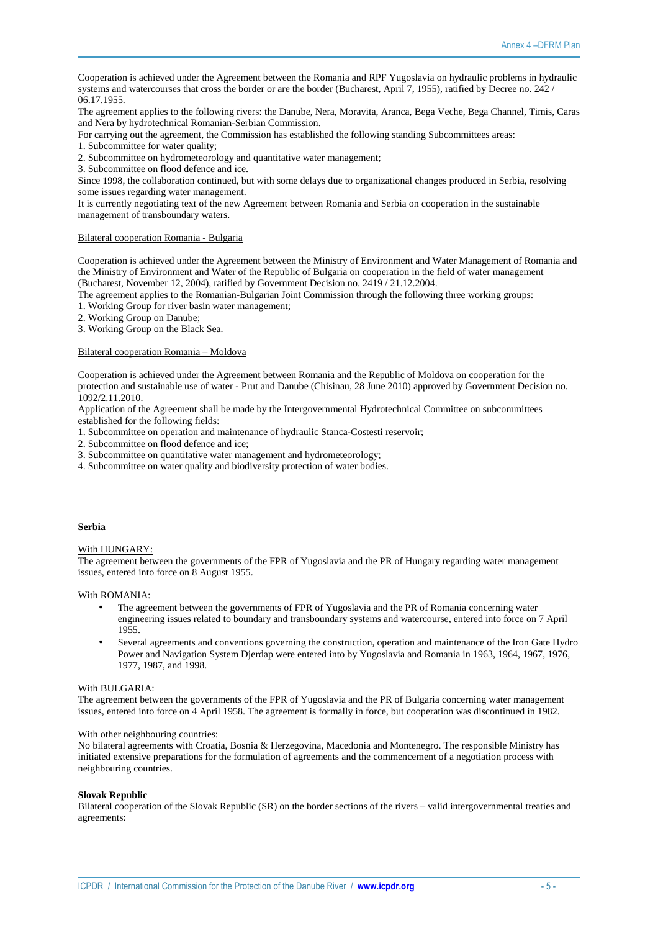Cooperation is achieved under the Agreement between the Romania and RPF Yugoslavia on hydraulic problems in hydraulic systems and watercourses that cross the border or are the border (Bucharest, April 7, 1955), ratified by Decree no. 242 / 06.17.1955.

The agreement applies to the following rivers: the Danube, Nera, Moravita, Aranca, Bega Veche, Bega Channel, Timis, Caras and Nera by hydrotechnical Romanian-Serbian Commission.

For carrying out the agreement, the Commission has established the following standing Subcommittees areas:

1. Subcommittee for water quality;

2. Subcommittee on hydrometeorology and quantitative water management;

3. Subcommittee on flood defence and ice.

Since 1998, the collaboration continued, but with some delays due to organizational changes produced in Serbia, resolving some issues regarding water management.

It is currently negotiating text of the new Agreement between Romania and Serbia on cooperation in the sustainable management of transboundary waters.

#### Bilateral cooperation Romania - Bulgaria

Cooperation is achieved under the Agreement between the Ministry of Environment and Water Management of Romania and the Ministry of Environment and Water of the Republic of Bulgaria on cooperation in the field of water management (Bucharest, November 12, 2004), ratified by Government Decision no. 2419 / 21.12.2004.

The agreement applies to the Romanian-Bulgarian Joint Commission through the following three working groups:

1. Working Group for river basin water management;

2. Working Group on Danube;

3. Working Group on the Black Sea.

#### Bilateral cooperation Romania – Moldova

Cooperation is achieved under the Agreement between Romania and the Republic of Moldova on cooperation for the protection and sustainable use of water - Prut and Danube (Chisinau, 28 June 2010) approved by Government Decision no. 1092/2.11.2010.

Application of the Agreement shall be made by the Intergovernmental Hydrotechnical Committee on subcommittees established for the following fields:

1. Subcommittee on operation and maintenance of hydraulic Stanca-Costesti reservoir;

- 2. Subcommittee on flood defence and ice;
- 3. Subcommittee on quantitative water management and hydrometeorology;
- 4. Subcommittee on water quality and biodiversity protection of water bodies.

# **Serbia**

# With HUNGARY:

The agreement between the governments of the FPR of Yugoslavia and the PR of Hungary regarding water management issues, entered into force on 8 August 1955.

# With ROMANIA:

- The agreement between the governments of FPR of Yugoslavia and the PR of Romania concerning water engineering issues related to boundary and transboundary systems and watercourse, entered into force on 7 April 1955.
- Several agreements and conventions governing the construction, operation and maintenance of the Iron Gate Hydro Power and Navigation System Djerdap were entered into by Yugoslavia and Romania in 1963, 1964, 1967, 1976, 1977, 1987, and 1998.

#### With BULGARIA:

The agreement between the governments of the FPR of Yugoslavia and the PR of Bulgaria concerning water management issues, entered into force on 4 April 1958. The agreement is formally in force, but cooperation was discontinued in 1982.

#### With other neighbouring countries:

No bilateral agreements with Croatia, Bosnia & Herzegovina, Macedonia and Montenegro. The responsible Ministry has initiated extensive preparations for the formulation of agreements and the commencement of a negotiation process with neighbouring countries.

#### **Slovak Republic**

Bilateral cooperation of the Slovak Republic (SR) on the border sections of the rivers – valid intergovernmental treaties and agreements: